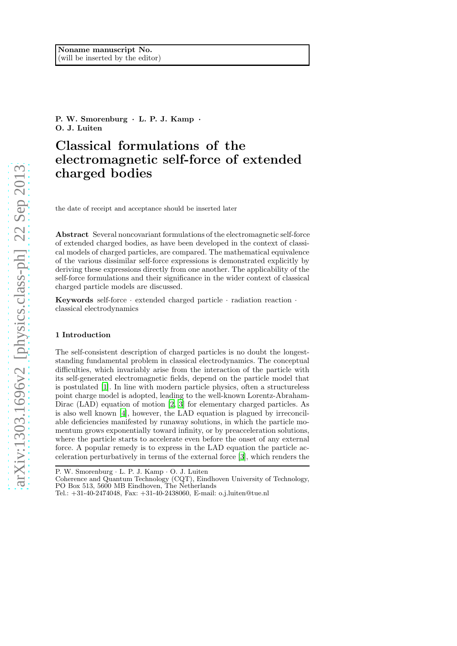P. W. Smorenburg · L. P. J. Kamp · O. J. Luiten

# Classical formulations of the electromagnetic self-force of extended charged bodies

the date of receipt and acceptance should be inserted later

Abstract Several noncovariant formulations of the electromagnetic self-force of extended charged bodies, as have been developed in the context of classical models of charged particles, are compared. The mathematical equivalence of the various dissimilar self-force expressions is demonstrated explicitly by deriving these expressions directly from one another. The applicability of the self-force formulations and their significance in the wider context of classical charged particle models are discussed.

Keywords self-force  $\cdot$  extended charged particle  $\cdot$  radiation reaction  $\cdot$ classical electrodynamics

#### 1 Introduction

The self-consistent description of charged particles is no doubt the longeststanding fundamental problem in classical electrodynamics. The conceptual difficulties, which invariably arise from the interaction of the particle with its self-generated electromagnetic fields, depend on the particle model that is postulated [\[1\]](#page-17-0). In line with modern particle physics, often a structureless point charge model is adopted, leading to the well-known Lorentz-Abraham-Dirac (LAD) equation of motion [\[2,](#page-17-1) [3\]](#page-17-2) for elementary charged particles. As is also well known [\[4](#page-17-3)], however, the LAD equation is plagued by irreconcilable deficiencies manifested by runaway solutions, in which the particle momentum grows exponentially toward infinity, or by preacceleration solutions, where the particle starts to accelerate even before the onset of any external force. A popular remedy is to express in the LAD equation the particle acceleration perturbatively in terms of the external force [\[3\]](#page-17-2), which renders the

P. W. Smorenburg · L. P. J. Kamp · O. J. Luiten

Coherence and Quantum Technology (CQT), Eindhoven University of Technology, PO Box 513, 5600 MB Eindhoven, The Netherlands

Tel.: +31-40-2474048, Fax: +31-40-2438060, E-mail: o.j.luiten@tue.nl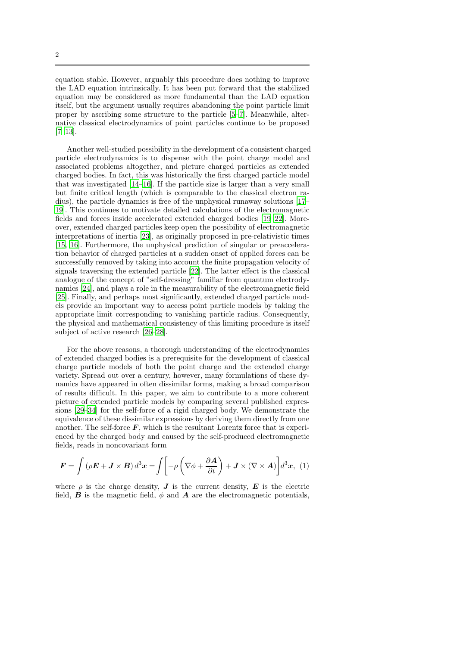2

equation stable. However, arguably this procedure does nothing to improve the LAD equation intrinsically. It has been put forward that the stabilized equation may be considered as more fundamental than the LAD equation itself, but the argument usually requires abandoning the point particle limit proper by ascribing some structure to the particle [\[5](#page-17-4)[–7\]](#page-18-0). Meanwhile, alternative classical electrodynamics of point particles continue to be proposed [\[7](#page-18-0)[–13\]](#page-18-1).

Another well-studied possibility in the development of a consistent charged particle electrodynamics is to dispense with the point charge model and associated problems altogether, and picture charged particles as extended charged bodies. In fact, this was historically the first charged particle model that was investigated [\[14](#page-18-2)[–16\]](#page-18-3). If the particle size is larger than a very small but finite critical length (which is comparable to the classical electron radius), the particle dynamics is free of the unphysical runaway solutions [\[17–](#page-18-4) [19\]](#page-18-5). This continues to motivate detailed calculations of the electromagnetic fields and forces inside accelerated extended charged bodies [\[19](#page-18-5)[–22\]](#page-18-6). Moreover, extended charged particles keep open the possibility of electromagnetic interpretations of inertia [\[23\]](#page-18-7), as originally proposed in pre-relativistic times [\[15,](#page-18-8) [16\]](#page-18-3). Furthermore, the unphysical prediction of singular or preacceleration behavior of charged particles at a sudden onset of applied forces can be successfully removed by taking into account the finite propagation velocity of signals traversing the extended particle [\[22](#page-18-6)]. The latter effect is the classical analogue of the concept of "self-dressing" familiar from quantum electrodynamics [\[24\]](#page-18-9), and plays a role in the measurability of the electromagnetic field [\[25\]](#page-18-10). Finally, and perhaps most significantly, extended charged particle models provide an important way to access point particle models by taking the appropriate limit corresponding to vanishing particle radius. Consequently, the physical and mathematical consistency of this limiting procedure is itself subject of active research [\[26](#page-19-0)[–28\]](#page-19-1).

For the above reasons, a thorough understanding of the electrodynamics of extended charged bodies is a prerequisite for the development of classical charge particle models of both the point charge and the extended charge variety. Spread out over a century, however, many formulations of these dynamics have appeared in often dissimilar forms, making a broad comparison of results difficult. In this paper, we aim to contribute to a more coherent picture of extended particle models by comparing several published expressions [\[29](#page-19-2)[–34\]](#page-19-3) for the self-force of a rigid charged body. We demonstrate the equivalence of these dissimilar expressions by deriving them directly from one another. The self-force  $\boldsymbol{F}$ , which is the resultant Lorentz force that is experienced by the charged body and caused by the self-produced electromagnetic fields, reads in noncovariant form

<span id="page-1-0"></span>
$$
\boldsymbol{F} = \int (\rho \boldsymbol{E} + \boldsymbol{J} \times \boldsymbol{B}) d^3 \boldsymbol{x} = \int \left[ -\rho \left( \nabla \phi + \frac{\partial \boldsymbol{A}}{\partial t} \right) + \boldsymbol{J} \times (\nabla \times \boldsymbol{A}) \right] d^3 \boldsymbol{x}, \tag{1}
$$

where  $\rho$  is the charge density,  $\bm{J}$  is the current density,  $\bm{E}$  is the electric field, **B** is the magnetic field,  $\phi$  and **A** are the electromagnetic potentials,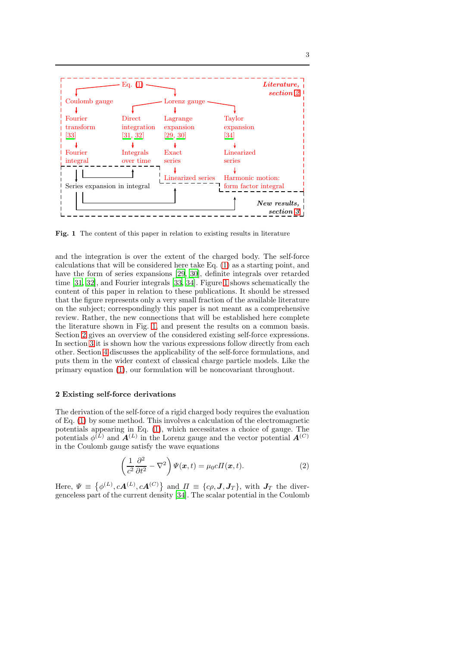

<span id="page-2-1"></span>Fig. 1 The content of this paper in relation to existing results in literature

and the integration is over the extent of the charged body. The self-force calculations that will be considered here take Eq. [\(1\)](#page-1-0) as a starting point, and have the form of series expansions [\[29,](#page-19-2) [30\]](#page-19-7), definite integrals over retarded time [\[31](#page-19-5), [32\]](#page-19-6), and Fourier integrals [\[33,](#page-19-4) [34](#page-19-3)]. Figure [1](#page-2-1) shows schematically the content of this paper in relation to these publications. It should be stressed that the figure represents only a very small fraction of the available literature on the subject; correspondingly this paper is not meant as a comprehensive review. Rather, the new connections that will be established here complete the literature shown in Fig. [1,](#page-2-1) and present the results on a common basis. Section [2](#page-2-0) gives an overview of the considered existing self-force expressions. In section [3](#page-8-0) it is shown how the various expressions follow directly from each other. Section [4](#page-14-0) discusses the applicability of the self-force formulations, and puts them in the wider context of classical charge particle models. Like the primary equation [\(1\)](#page-1-0), our formulation will be noncovariant throughout.

## <span id="page-2-0"></span>2 Existing self-force derivations

The derivation of the self-force of a rigid charged body requires the evaluation of Eq. [\(1\)](#page-1-0) by some method. This involves a calculation of the electromagnetic potentials appearing in Eq. [\(1\)](#page-1-0), which necessitates a choice of gauge. The potentials  $\phi^{(L)}$  and  $A^{(L)}$  in the Lorenz gauge and the vector potential  $A^{(C)}$ in the Coulomb gauge satisfy the wave equations

<span id="page-2-2"></span>
$$
\left(\frac{1}{c^2}\frac{\partial^2}{\partial t^2} - \nabla^2\right)\Psi(\boldsymbol{x},t) = \mu_0 c \Pi(\boldsymbol{x},t). \tag{2}
$$

Here,  $\Psi \equiv \{ \phi^{(L)}, cA^{(L)}, cA^{(C)} \}$  and  $\Pi \equiv \{ c\rho, J, J_T \}$ , with  $J_T$  the divergenceless part of the current density [\[34\]](#page-19-3). The scalar potential in the Coulomb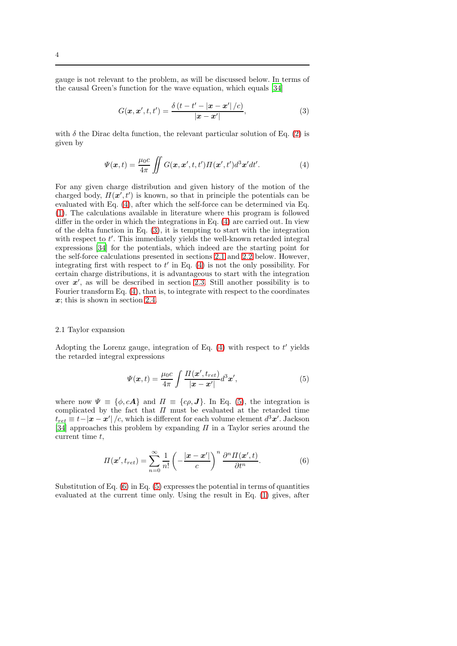gauge is not relevant to the problem, as will be discussed below. In terms of the causal Green's function for the wave equation, which equals [\[34\]](#page-19-3)

<span id="page-3-1"></span><span id="page-3-0"></span>
$$
G(\mathbf{x}, \mathbf{x}', t, t') = \frac{\delta(t - t' - |\mathbf{x} - \mathbf{x}'|/c)}{|\mathbf{x} - \mathbf{x}'|},
$$
\n(3)

with  $\delta$  the Dirac delta function, the relevant particular solution of Eq. [\(2\)](#page-2-2) is given by

$$
\Psi(\boldsymbol{x},t) = \frac{\mu_0 c}{4\pi} \iint G(\boldsymbol{x},\boldsymbol{x}',t,t') \Pi(\boldsymbol{x}',t') d^3 \boldsymbol{x}' dt'. \tag{4}
$$

For any given charge distribution and given history of the motion of the charged body,  $\Pi(\mathbf{x}', t')$  is known, so that in principle the potentials can be evaluated with Eq. [\(4\)](#page-3-0), after which the self-force can be determined via Eq. [\(1\)](#page-1-0). The calculations available in literature where this program is followed differ in the order in which the integrations in Eq.  $(4)$  are carried out. In view of the delta function in Eq. [\(3\)](#page-3-1), it is tempting to start with the integration with respect to  $t'$ . This immediately yields the well-known retarded integral expressions [\[34\]](#page-19-3) for the potentials, which indeed are the starting point for the self-force calculations presented in sections [2.1](#page-3-2) and [2.2](#page-4-0) below. However, integrating first with respect to  $t'$  in Eq. [\(4\)](#page-3-0) is not the only possibility. For certain charge distributions, it is advantageous to start with the integration over  $x'$ , as will be described in section [2.3.](#page-6-0) Still another possibility is to Fourier transform Eq. [\(4\)](#page-3-0), that is, to integrate with respect to the coordinates  $x$ ; this is shown in section [2.4.](#page-7-0)

#### <span id="page-3-2"></span>2.1 Taylor expansion

Adopting the Lorenz gauge, integration of Eq.  $(4)$  with respect to  $t'$  yields the retarded integral expressions

<span id="page-3-4"></span><span id="page-3-3"></span>
$$
\Psi(\mathbf{x},t) = \frac{\mu_0 c}{4\pi} \int \frac{\Pi(\mathbf{x}',t_{ret})}{|\mathbf{x}-\mathbf{x}'|} d^3 \mathbf{x}',\tag{5}
$$

where now  $\Psi \equiv {\phi, cA}$  and  $\Pi \equiv {c\rho, J}$ . In Eq. [\(5\)](#page-3-3), the integration is complicated by the fact that  $\Pi$  must be evaluated at the retarded time  $t_{ret} \equiv t - |\bm{x} - \bm{x}'| \left/ c$ , which is different for each volume element  $d^3\bm{x}'$ . Jackson [\[34\]](#page-19-3) approaches this problem by expanding  $\Pi$  in a Taylor series around the current time t,

$$
\Pi(\boldsymbol{x}', t_{ret}) = \sum_{n=0}^{\infty} \frac{1}{n!} \left( -\frac{|\boldsymbol{x} - \boldsymbol{x}'|}{c} \right)^n \frac{\partial^n \Pi(\boldsymbol{x}', t)}{\partial t^n}.
$$
 (6)

Substitution of Eq.  $(6)$  in Eq.  $(5)$  expresses the potential in terms of quantities evaluated at the current time only. Using the result in Eq. [\(1\)](#page-1-0) gives, after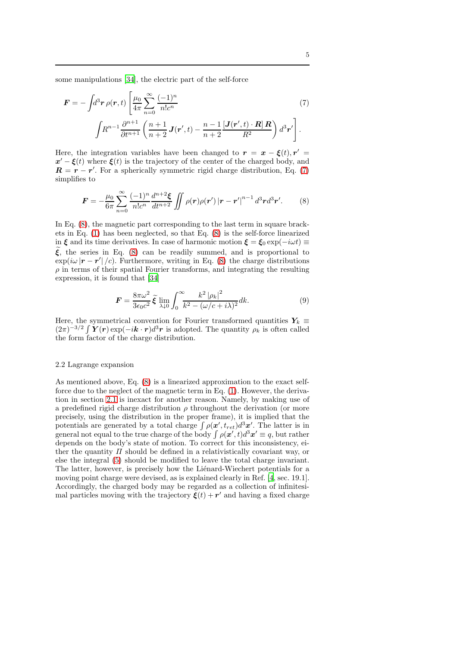some manipulations [\[34\]](#page-19-3), the electric part of the self-force

<span id="page-4-1"></span>
$$
\mathbf{F} = -\int d^3 \mathbf{r} \,\rho(\mathbf{r}, t) \left[ \frac{\mu_0}{4\pi} \sum_{n=0}^{\infty} \frac{(-1)^n}{n! c^n} \right] \left( 7 \right)
$$
\n
$$
\int R^{n-1} \frac{\partial^{n+1}}{\partial t^{n+1}} \left( \frac{n+1}{n+2} \mathbf{J}(\mathbf{r}', t) - \frac{n-1}{n+2} \frac{\left[ \mathbf{J}(\mathbf{r}', t) \cdot \mathbf{R} \right] \mathbf{R}}{R^2} \right) d^3 \mathbf{r}' \right]. \tag{7}
$$

Here, the integration variables have been changed to  $\mathbf{r} = \mathbf{x} - \boldsymbol{\xi}(t), \mathbf{r}' =$  $x' - \xi(t)$  where  $\xi(t)$  is the trajectory of the center of the charged body, and  $\mathbf{R} = \mathbf{r} - \mathbf{r}'$ . For a spherically symmetric rigid charge distribution, Eq. [\(7\)](#page-4-1) simplifies to

$$
\boldsymbol{F} = -\frac{\mu_0}{6\pi} \sum_{n=0}^{\infty} \frac{(-1)^n}{n!c^n} \frac{d^{n+2}\boldsymbol{\xi}}{dt^{n+2}} \iint \rho(\boldsymbol{r}) \rho(\boldsymbol{r}') |\boldsymbol{r} - \boldsymbol{r}'|^{n-1} d^3 \boldsymbol{r} d^3 \boldsymbol{r}'. \tag{8}
$$

In Eq.  $(8)$ , the magnetic part corresponding to the last term in square brackets in Eq. [\(1\)](#page-1-0) has been neglected, so that Eq. [\(8\)](#page-4-2) is the self-force linearized in  $\xi$  and its time derivatives. In case of harmonic motion  $\xi = \xi_0 \exp(-i\omega t) \equiv$  $\xi$ , the series in Eq. [\(8\)](#page-4-2) can be readily summed, and is proportional to  $\exp(i\omega |\mathbf{r}-\mathbf{r}'|/c)$ . Furthermore, writing in Eq. [\(8\)](#page-4-2) the charge distributions  $\rho$  in terms of their spatial Fourier transforms, and integrating the resulting expression, it is found that [\[34](#page-19-3)]

<span id="page-4-3"></span><span id="page-4-2"></span>
$$
\mathbf{F} = \frac{8\pi\omega^2}{3\epsilon_0 c^2} \tilde{\boldsymbol{\xi}} \lim_{\lambda \downarrow 0} \int_0^\infty \frac{k^2 |\rho_k|^2}{k^2 - (\omega/c + i\lambda)^2} dk.
$$
 (9)

Here, the symmetrical convention for Fourier transformed quantities  $Y_k \equiv$  $(2\pi)^{-3/2} \int \bm{Y}(\bm{r}) \exp(-i\bm{k}\cdot\bm{r}) d^3\bm{r}$  is adopted. The quantity  $\rho_k$  is often called the form factor of the charge distribution.

### <span id="page-4-0"></span>2.2 Lagrange expansion

As mentioned above, Eq. [\(8\)](#page-4-2) is a linearized approximation to the exact selfforce due to the neglect of the magnetic term in Eq. [\(1\)](#page-1-0). However, the derivation in section [2.1](#page-3-2) is inexact for another reason. Namely, by making use of a predefined rigid charge distribution  $\rho$  throughout the derivation (or more precisely, using the distribution in the proper frame), it is implied that the potentials are generated by a total charge  $\int \rho(\mathbf{x}', t_{ret})d^3\mathbf{x}'$ . The latter is in general not equal to the true charge of the body  $\int \rho(\mathbf{x}',t) d^3\mathbf{x}' \equiv q$ , but rather depends on the body's state of motion. To correct for this inconsistency, either the quantity  $\Pi$  should be defined in a relativistically covariant way, or else the integral [\(5\)](#page-3-3) should be modified to leave the total charge invariant. The latter, however, is precisely how the Lienard-Wiechert potentials for a moving point charge were devised, as is explained clearly in Ref. [\[4](#page-17-3), sec. 19.1]. Accordingly, the charged body may be regarded as a collection of infinitesimal particles moving with the trajectory  $\dot{\xi}(t) + r'$  and having a fixed charge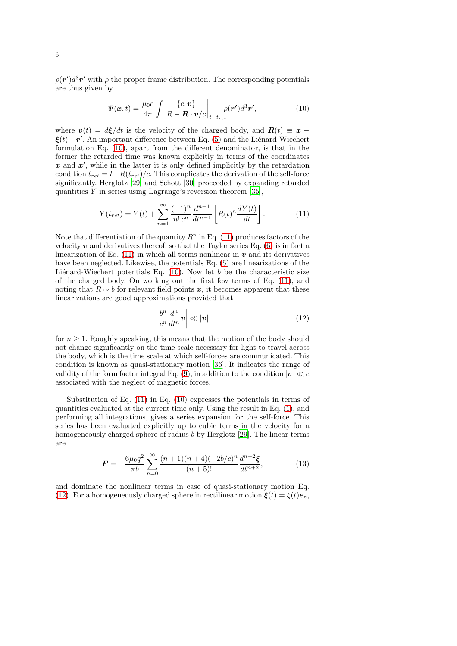$\rho(\mathbf{r}')d^3\mathbf{r}'$  with  $\rho$  the proper frame distribution. The corresponding potentials are thus given by

<span id="page-5-0"></span>
$$
\Psi(\boldsymbol{x},t) = \frac{\mu_0 c}{4\pi} \int \left. \frac{\{c, \boldsymbol{v}\}}{R - \boldsymbol{R} \cdot \boldsymbol{v}/c} \right|_{t = t_{ret}} \rho(\boldsymbol{r}') d^3 \boldsymbol{r}',\tag{10}
$$

where  $v(t) = d\xi/dt$  is the velocity of the charged body, and  $R(t) \equiv x \xi(t) - r'$ . An important difference between Eq. [\(5\)](#page-3-3) and the Liénard-Wiechert formulation Eq. [\(10\)](#page-5-0), apart from the different denominator, is that in the former the retarded time was known explicitly in terms of the coordinates  $x$  and  $x'$ , while in the latter it is only defined implicitly by the retardation condition  $t_{ret} = t - R(t_{ret})/c$ . This complicates the derivation of the self-force significantly. Herglotz [\[29](#page-19-2)] and Schott [\[30\]](#page-19-7) proceeded by expanding retarded quantities  $Y$  in series using Lagrange's reversion theorem [\[35\]](#page-19-8),

$$
Y(t_{ret}) = Y(t) + \sum_{n=1}^{\infty} \frac{(-1)^n}{n! \, c^n} \frac{d^{n-1}}{dt^{n-1}} \left[ R(t)^n \frac{dY(t)}{dt} \right]. \tag{11}
$$

Note that differentiation of the quantity  $R^n$  in Eq. [\(11\)](#page-5-1) produces factors of the velocity  $v$  and derivatives thereof, so that the Taylor series Eq. [\(6\)](#page-3-4) is in fact a linearization of Eq.  $(11)$  in which all terms nonlinear in v and its derivatives have been neglected. Likewise, the potentials Eq. [\(5\)](#page-3-3) are linearizations of the Liénard-Wiechert potentials Eq.  $(10)$ . Now let b be the characteristic size of the charged body. On working out the first few terms of Eq. [\(11\)](#page-5-1), and noting that  $R \sim b$  for relevant field points x, it becomes apparent that these linearizations are good approximations provided that

<span id="page-5-2"></span><span id="page-5-1"></span>
$$
\left|\frac{b^n}{c^n}\frac{d^n}{dt^n}\mathbf{v}\right| \ll |\mathbf{v}| \tag{12}
$$

for  $n \geq 1$ . Roughly speaking, this means that the motion of the body should not change significantly on the time scale necessary for light to travel across the body, which is the time scale at which self-forces are communicated. This condition is known as quasi-stationary motion [\[36](#page-19-9)]. It indicates the range of validity of the form factor integral Eq. [\(9\)](#page-4-3), in addition to the condition  $|v| \ll c$ associated with the neglect of magnetic forces.

Substitution of Eq. [\(11\)](#page-5-1) in Eq. [\(10\)](#page-5-0) expresses the potentials in terms of quantities evaluated at the current time only. Using the result in Eq. [\(1\)](#page-1-0), and performing all integrations, gives a series expansion for the self-force. This series has been evaluated explicitly up to cubic terms in the velocity for a homogeneously charged sphere of radius b by Herglotz [\[29](#page-19-2)]. The linear terms are

<span id="page-5-3"></span>
$$
F = -\frac{6\mu_0 q^2}{\pi b} \sum_{n=0}^{\infty} \frac{(n+1)(n+4)(-2b/c)^n}{(n+5)!} \frac{d^{n+2}\xi}{dt^{n+2}},
$$
(13)

and dominate the nonlinear terms in case of quasi-stationary motion Eq. [\(12\)](#page-5-2). For a homogeneously charged sphere in rectilinear motion  $\boldsymbol{\xi}(t) = \xi(t)\boldsymbol{e}_z$ ,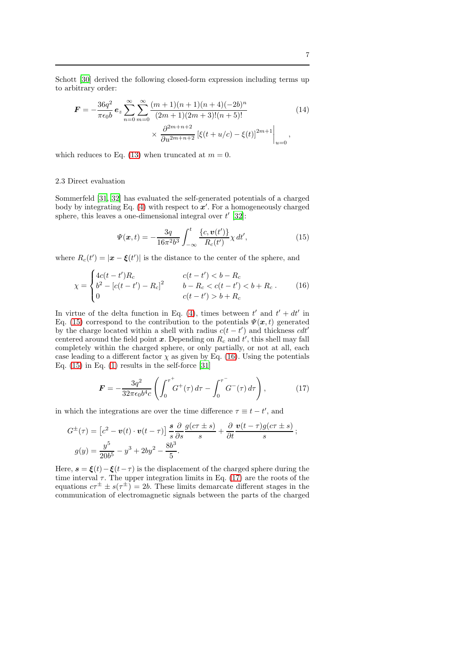Schott [\[30\]](#page-19-7) derived the following closed-form expression including terms up to arbitrary order:

$$
\mathbf{F} = -\frac{36q^2}{\pi\epsilon_0 b} \mathbf{e}_z \sum_{n=0}^{\infty} \sum_{m=0}^{\infty} \frac{(m+1)(n+1)(n+4)(-2b)^n}{(2m+1)(2m+3)!(n+5)!} \tag{14}
$$
\n
$$
\times \frac{\partial^{2m+n+2}}{\partial u^{2m+n+2}} \left[ \xi(t+u/c) - \xi(t) \right]^{2m+1} \Big|_{u=0},
$$

which reduces to Eq. [\(13\)](#page-5-3) when truncated at  $m = 0$ .

# <span id="page-6-0"></span>2.3 Direct evaluation

Sommerfeld [\[31](#page-19-5), [32](#page-19-6)] has evaluated the self-generated potentials of a charged body by integrating Eq. [\(4\)](#page-3-0) with respect to  $x'$ . For a homogeneously charged sphere, this leaves a one-dimensional integral over  $t'$  [\[32](#page-19-6)]:

<span id="page-6-4"></span><span id="page-6-2"></span><span id="page-6-1"></span>
$$
\Psi(x,t) = -\frac{3q}{16\pi^2 b^3} \int_{-\infty}^t \frac{\{c, \mathbf{v}(t')\}}{R_c(t')} \chi \, dt', \tag{15}
$$

where  $R_c(t') = |\mathbf{x} - \boldsymbol{\xi}(t')|$  is the distance to the center of the sphere, and

$$
\chi = \begin{cases}\n4c(t - t')R_c & c(t - t') < b - R_c \\
b^2 - [c(t - t') - R_c]^2 & b - R_c < c(t - t') < b + R_c \\
0 & c(t - t') > b + R_c\n\end{cases} (16)
$$

In virtue of the delta function in Eq. [\(4\)](#page-3-0), times between  $t'$  and  $t' + dt'$  in Eq. [\(15\)](#page-6-1) correspond to the contribution to the potentials  $\Psi(x, t)$  generated by the charge located within a shell with radius  $c(t - t')$  and thickness  $cdt'$ centered around the field point  $x$ . Depending on  $R_c$  and  $t'$ , this shell may fall completely within the charged sphere, or only partially, or not at all, each case leading to a different factor  $\chi$  as given by Eq. [\(16\)](#page-6-2). Using the potentials Eq.  $(15)$  in Eq.  $(1)$  results in the self-force [\[31\]](#page-19-5)

<span id="page-6-3"></span>
$$
\boldsymbol{F} = -\frac{3q^2}{32\pi\epsilon_0 b^4 c} \left( \int_0^{\tau^+} G^+(\tau) \, d\tau - \int_0^{\tau^-} G^-(\tau) \, d\tau \right),\tag{17}
$$

in which the integrations are over the time difference  $\tau \equiv t - t'$ , and

$$
G^{\pm}(\tau) = \left[c^2 - \mathbf{v}(t) \cdot \mathbf{v}(t-\tau)\right] \frac{s}{s} \frac{\partial}{\partial s} \frac{g(c\tau \pm s)}{s} + \frac{\partial}{\partial t} \frac{\mathbf{v}(t-\tau)g(c\tau \pm s)}{s};
$$

$$
g(y) = \frac{y^5}{20b^5} - y^3 + 2by^2 - \frac{8b^3}{5}.
$$

Here,  $\mathbf{s} = \boldsymbol{\xi}(t) - \boldsymbol{\xi}(t-\tau)$  is the displacement of the charged sphere during the time interval  $\tau$ . The upper integration limits in Eq. [\(17\)](#page-6-3) are the roots of the equations  $c\tau^{\pm} \pm s(\tau^{\pm}) = 2b$ . These limits demarcate different stages in the communication of electromagnetic signals between the parts of the charged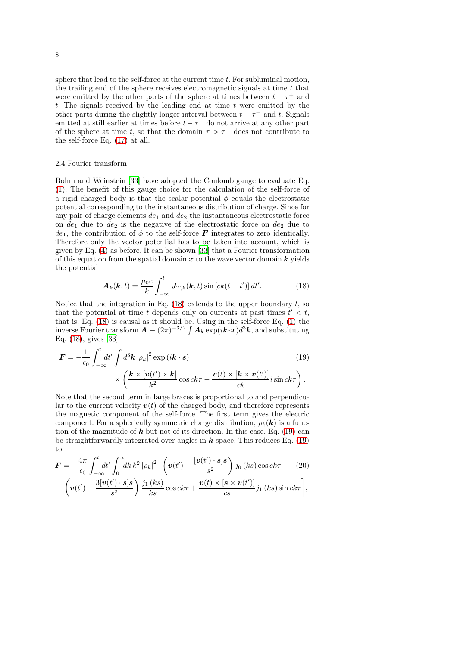sphere that lead to the self-force at the current time  $t$ . For subluminal motion, the trailing end of the sphere receives electromagnetic signals at time  $t$  that were emitted by the other parts of the sphere at times between  $t - \tau^+$  and t. The signals received by the leading end at time  $t$  were emitted by the other parts during the slightly longer interval between  $t - \tau^-$  and t. Signals emitted at still earlier at times before  $t - \tau^{-}$  do not arrive at any other part of the sphere at time t, so that the domain  $\tau > \tau^-$  does not contribute to the self-force Eq. [\(17\)](#page-6-3) at all.

# <span id="page-7-0"></span>2.4 Fourier transform

Bohm and Weinstein [\[33\]](#page-19-4) have adopted the Coulomb gauge to evaluate Eq. [\(1\)](#page-1-0). The benefit of this gauge choice for the calculation of the self-force of a rigid charged body is that the scalar potential  $\phi$  equals the electrostatic potential corresponding to the instantaneous distribution of charge. Since for any pair of charge elements  $de_1$  and  $de_2$  the instantaneous electrostatic force on  $de_1$  due to  $de_2$  is the negative of the electrostatic force on  $de_2$  due to  $de_1$ , the contribution of  $\phi$  to the self-force **F** integrates to zero identically. Therefore only the vector potential has to be taken into account, which is given by Eq. [\(4\)](#page-3-0) as before. It can be shown [\[33](#page-19-4)] that a Fourier transformation of this equation from the spatial domain  $x$  to the wave vector domain  $k$  yields the potential

<span id="page-7-2"></span><span id="page-7-1"></span>
$$
\boldsymbol{A}_{k}(\boldsymbol{k},t) = \frac{\mu_{0}c}{k} \int_{-\infty}^{t} \boldsymbol{J}_{T,k}(\boldsymbol{k},t) \sin\left[ck(t-t')\right] dt'.
$$
 (18)

Notice that the integration in Eq.  $(18)$  extends to the upper boundary t, so that the potential at time t depends only on currents at past times  $t' < t$ , that is, Eq. [\(18\)](#page-7-1) is causal as it should be. Using in the self-force Eq. [\(1\)](#page-1-0) the inverse Fourier transform  $\bm{A}\equiv(2\pi)^{-3/2}\int \bm{A}_k \exp(i\bm{k}\!\cdot\!\bm{x})d^3\bm{k},$  and substituting Eq. [\(18\)](#page-7-1), gives [\[33](#page-19-4)]

$$
\mathbf{F} = -\frac{1}{\epsilon_0} \int_{-\infty}^{t} dt' \int d^3 \mathbf{k} |\rho_k|^2 \exp(i\mathbf{k} \cdot \mathbf{s})
$$
(19)  

$$
\times \left( \frac{\mathbf{k} \times [\mathbf{v}(t') \times \mathbf{k}]}{k^2} \cos ck\tau - \frac{\mathbf{v}(t) \times [\mathbf{k} \times \mathbf{v}(t')]}{ck} i \sin ck\tau \right).
$$

Note that the second term in large braces is proportional to and perpendicular to the current velocity  $v(t)$  of the charged body, and therefore represents the magnetic component of the self-force. The first term gives the electric component. For a spherically symmetric charge distribution,  $\rho_k(\mathbf{k})$  is a function of the magnitude of  $k$  but not of its direction. In this case, Eq. [\(19\)](#page-7-2) can be straightforwardly integrated over angles in  $k$ -space. This reduces Eq. [\(19\)](#page-7-2) to

$$
\boldsymbol{F} = -\frac{4\pi}{\epsilon_0} \int_{-\infty}^t dt' \int_0^\infty dk \, k^2 |\rho_k|^2 \left[ \left( \boldsymbol{v}(t') - \frac{[\boldsymbol{v}(t') \cdot \boldsymbol{s}]}{s^2} \right) j_0 \left( ks \right) \cos ck\tau \right] \tag{20}
$$

<span id="page-7-3"></span>
$$
-\left(\boldsymbol{v}(t')-\frac{3[\boldsymbol{v}(t')\cdot \boldsymbol{s}]\boldsymbol{s}}{s^2}\right)\frac{j_1\left(ks\right)}{ks}\cos ck\tau+\frac{\boldsymbol{v}(t)\times\left[\boldsymbol{s}\times\boldsymbol{v}(t')\right]}{cs}j_1\left(ks\right)\sin ck\tau\right],
$$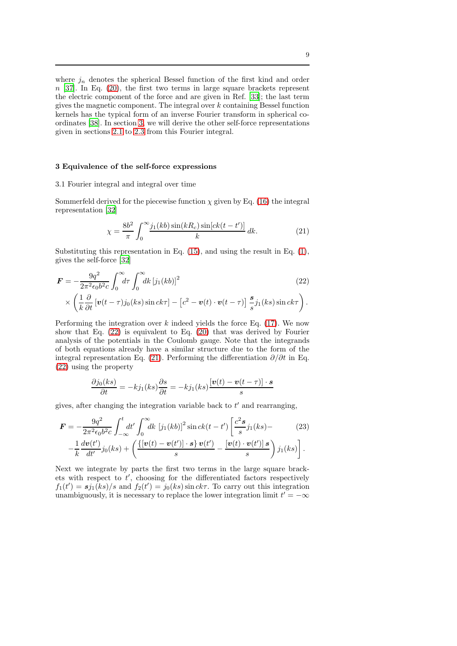where  $j_n$  denotes the spherical Bessel function of the first kind and order  $n$  [\[37](#page-19-10)]. In Eq. [\(20\)](#page-7-3), the first two terms in large square brackets represent the electric component of the force and are given in Ref. [\[33\]](#page-19-4); the last term gives the magnetic component. The integral over  $k$  containing Bessel function kernels has the typical form of an inverse Fourier transform in spherical coordinates [\[38\]](#page-19-11). In section [3,](#page-8-0) we will derive the other self-force representations given in sections [2.1](#page-3-2) to [2.3](#page-6-0) from this Fourier integral.

## <span id="page-8-0"></span>3 Equivalence of the self-force expressions

# 3.1 Fourier integral and integral over time

Sommerfeld derived for the piecewise function  $\chi$  given by Eq. [\(16\)](#page-6-2) the integral representation [\[32\]](#page-19-6)

<span id="page-8-2"></span><span id="page-8-1"></span>
$$
\chi = \frac{8b^2}{\pi} \int_0^\infty \frac{j_1(kb)\sin(kR_c)\sin[ck(t - t')] }{k} dk.
$$
 (21)

Substituting this representation in Eq. [\(15\)](#page-6-1), and using the result in Eq. [\(1\)](#page-1-0), gives the self-force [\[32\]](#page-19-6)

$$
\mathbf{F} = -\frac{9q^2}{2\pi^2 \epsilon_0 b^2 c} \int_0^\infty d\tau \int_0^\infty dk \left[ j_1(kb) \right]^2 \times \left( \frac{1}{k} \frac{\partial}{\partial t} \left[ \nu (t - \tau) j_0(ks) \sin ck\tau \right] - \left[ c^2 - \mathbf{v}(t) \cdot \mathbf{v}(t - \tau) \right] \frac{s}{s} j_1(ks) \sin ck\tau \right). \tag{22}
$$

Performing the integration over  $k$  indeed yields the force Eq. [\(17\)](#page-6-3). We now show that Eq. [\(22\)](#page-8-1) is equivalent to Eq. [\(20\)](#page-7-3) that was derived by Fourier analysis of the potentials in the Coulomb gauge. Note that the integrands of both equations already have a similar structure due to the form of the integral representation Eq. [\(21\)](#page-8-2). Performing the differentiation  $\partial/\partial t$  in Eq. [\(22\)](#page-8-1) using the property

$$
\frac{\partial j_0(ks)}{\partial t} = -kj_1(ks)\frac{\partial s}{\partial t} = -kj_1(ks)\frac{[\mathbf{v}(t) - \mathbf{v}(t-\tau)] \cdot \mathbf{s}}{s}
$$

gives, after changing the integration variable back to  $t'$  and rearranging,

$$
\mathbf{F} = -\frac{9q^2}{2\pi^2\epsilon_0 b^2 c} \int_{-\infty}^t dt' \int_0^{\infty} dk \left[j_1(kb)\right]^2 \sin ck(t-t') \left[\frac{c^2 s}{s} j_1(ks) - (23) - \frac{1}{k} \frac{dv(t')}{dt'} j_0(ks) + \left(\frac{\left\{\left[v(t) - v(t')\right] \cdot s\right\} v(t')}{s} - \frac{\left[v(t) \cdot v(t')\right] s}{s}\right) j_1(ks)\right].
$$

Next we integrate by parts the first two terms in the large square brackets with respect to  $t'$ , choosing for the differentiated factors respectively  $f_1(t') = s j_1(ks)/s$  and  $f_2(t') = j_0(ks) \sin ck\tau$ . To carry out this integration unambiguously, it is necessary to replace the lower integration limit  $t' = -\infty$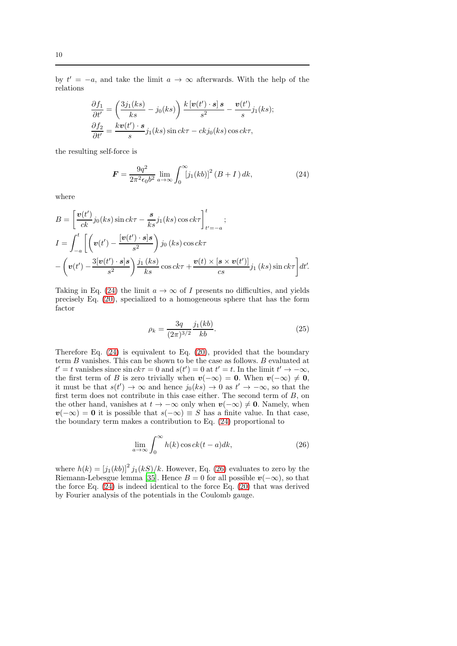by  $t' = -a$ , and take the limit  $a \to \infty$  afterwards. With the help of the relations

$$
\frac{\partial f_1}{\partial t'} = \left(\frac{3j_1(ks)}{ks} - j_0(ks)\right) \frac{k\left[\mathbf{v}(t') \cdot \mathbf{s}\right]s}{s^2} - \frac{\mathbf{v}(t')}{s}j_1(ks);
$$
  

$$
\frac{\partial f_2}{\partial t'} = \frac{k\mathbf{v}(t') \cdot \mathbf{s}}{s}j_1(ks)\sin ck\tau - ckj_0(ks)\cos ck\tau,
$$

the resulting self-force is

<span id="page-9-0"></span>
$$
F = \frac{9q^2}{2\pi^2 \epsilon_0 b^2} \lim_{a \to \infty} \int_0^\infty [j_1(kb)]^2 (B+I) dk,
$$
 (24)

where

$$
B = \left[\frac{\boldsymbol{v}(t')}{ck}j_0(ks)\sin ck\tau - \frac{s}{ks}j_1(ks)\cos ck\tau\right]_{t'=-a}^t;
$$
  
\n
$$
I = \int_{-a}^t \left[\left(\boldsymbol{v}(t') - \frac{[\boldsymbol{v}(t') \cdot s]s}{s^2}\right)j_0(ks)\cos ck\tau - \left(\boldsymbol{v}(t') - \frac{3[\boldsymbol{v}(t') \cdot s]s}{s^2}\right)\frac{j_1(ks)}{ks}\cos ck\tau + \frac{\boldsymbol{v}(t) \times [s \times \boldsymbol{v}(t')]}{cs}j_1(ks)\sin ck\tau\right]dt'.
$$

Taking in Eq. [\(24\)](#page-9-0) the limit  $a \to \infty$  of I presents no difficulties, and yields precisely Eq. [\(20\)](#page-7-3), specialized to a homogeneous sphere that has the form factor

<span id="page-9-2"></span>
$$
\rho_k = \frac{3q}{(2\pi)^{3/2}} \frac{j_1(kb)}{kb}.
$$
\n(25)

Therefore Eq. [\(24\)](#page-9-0) is equivalent to Eq. [\(20\)](#page-7-3), provided that the boundary term B vanishes. This can be shown to be the case as follows. B evaluated at  $t' = t$  vanishes since  $\sin ck\tau = 0$  and  $s(t') = 0$  at  $t' = t$ . In the limit  $t' \to -\infty$ , the first term of B is zero trivially when  $v(-\infty) = 0$ . When  $v(-\infty) \neq 0$ , it must be that  $s(t') \to \infty$  and hence  $j_0(ks) \to 0$  as  $t' \to -\infty$ , so that the first term does not contribute in this case either. The second term of  $B$ , on the other hand, vanishes at  $t \to -\infty$  only when  $v(-\infty) \neq 0$ . Namely, when  $v(-\infty) = 0$  it is possible that  $s(-\infty) \equiv S$  has a finite value. In that case, the boundary term makes a contribution to Eq. [\(24\)](#page-9-0) proportional to

<span id="page-9-1"></span>
$$
\lim_{a \to \infty} \int_0^\infty h(k) \cos ck(t-a) dk, \tag{26}
$$

where  $h(k) = [j_1(kb)]^2 j_1(kS)/k$ . However, Eq. [\(26\)](#page-9-1) evaluates to zero by the Riemann-Lebesgue lemma [\[35\]](#page-19-8). Hence  $B = 0$  for all possible  $v(-\infty)$ , so that the force Eq. [\(24\)](#page-9-0) is indeed identical to the force Eq. [\(20\)](#page-7-3) that was derived by Fourier analysis of the potentials in the Coulomb gauge.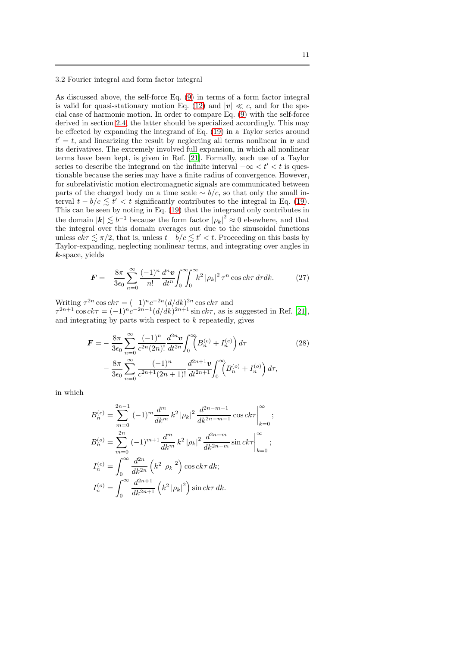# 3.2 Fourier integral and form factor integral

As discussed above, the self-force Eq. [\(9\)](#page-4-3) in terms of a form factor integral is valid for quasi-stationary motion Eq. [\(12\)](#page-5-2) and  $|v| \ll c$ , and for the special case of harmonic motion. In order to compare Eq. [\(9\)](#page-4-3) with the self-force derived in section [2.4,](#page-7-0) the latter should be specialized accordingly. This may be effected by expanding the integrand of Eq. [\(19\)](#page-7-2) in a Taylor series around  $t' = t$ , and linearizing the result by neglecting all terms nonlinear in  $v$  and its derivatives. The extremely involved full expansion, in which all nonlinear terms have been kept, is given in Ref. [\[21](#page-18-11)]. Formally, such use of a Taylor series to describe the integrand on the infinite interval  $-\infty < t' < t$  is questionable because the series may have a finite radius of convergence. However, for subrelativistic motion electromagnetic signals are communicated between parts of the charged body on a time scale  $\sim b/c$ , so that only the small interval  $t - b/c \lesssim t' < t$  significantly contributes to the integral in Eq. [\(19\)](#page-7-2). This can be seen by noting in Eq. [\(19\)](#page-7-2) that the integrand only contributes in the domain  $|\mathbf{k}| \lesssim b^{-1}$  because the form factor  $|\rho_k|^2 \approx 0$  elsewhere, and that the integral over this domain averages out due to the sinusoidal functions unless  $ck\tau \lesssim \pi/2$ , that is, unless  $t - b/c \lesssim t' < t$ . Proceeding on this basis by Taylor-expanding, neglecting nonlinear terms, and integrating over angles in  $k$ -space, yields

$$
\boldsymbol{F} = -\frac{8\pi}{3\epsilon_0} \sum_{n=0}^{\infty} \frac{(-1)^n}{n!} \frac{d^n \boldsymbol{v}}{dt^n} \int_0^{\infty} \int_0^{\infty} k^2 |\rho_k|^2 \,\tau^n \cos ck\tau \,d\tau dk. \tag{27}
$$

Writing  $\tau^{2n} \cos ck\tau = (-1)^n c^{-2n} (d/dk)^{2n} \cos ck\tau$  and  $\tau^{2n+1}$  cos  $ck\tau = (-1)^n c^{-2n-1} (d/dk)^{2n+1} \sin ck\tau$ , as is suggested in Ref. [\[21](#page-18-11)], and integrating by parts with respect to  $k$  repeatedly, gives

<span id="page-10-0"></span>
$$
\mathbf{F} = -\frac{8\pi}{3\epsilon_0} \sum_{n=0}^{\infty} \frac{(-1)^n}{c^{2n}(2n)!} \frac{d^{2n} \mathbf{v}}{dt^{2n}} \int_0^{\infty} \left( B_n^{(e)} + I_n^{(e)} \right) d\tau
$$
\n
$$
- \frac{8\pi}{3\epsilon_0} \sum_{n=0}^{\infty} \frac{(-1)^n}{c^{2n+1}(2n+1)!} \frac{d^{2n+1} \mathbf{v}}{dt^{2n+1}} \int_0^{\infty} \left( B_n^{(o)} + I_n^{(o)} \right) d\tau,
$$
\n(28)

in which

$$
B_n^{(e)} = \sum_{m=0}^{2n-1} (-1)^m \frac{d^m}{dk^m} k^2 |\rho_k|^2 \frac{d^{2n-m-1}}{dk^{2n-m-1}} \cos ck\tau \Big|_{k=0}^{\infty};
$$
  
\n
$$
B_n^{(o)} = \sum_{m=0}^{2n} (-1)^{m+1} \frac{d^m}{dk^m} k^2 |\rho_k|^2 \frac{d^{2n-m}}{dk^{2n-m}} \sin ck\tau \Big|_{k=0}^{\infty};
$$
  
\n
$$
I_n^{(e)} = \int_0^{\infty} \frac{d^{2n}}{dk^{2n}} (k^2 |\rho_k|^2) \cos ck\tau dk;
$$
  
\n
$$
I_n^{(o)} = \int_0^{\infty} \frac{d^{2n+1}}{dk^{2n+1}} (k^2 |\rho_k|^2) \sin ck\tau dk.
$$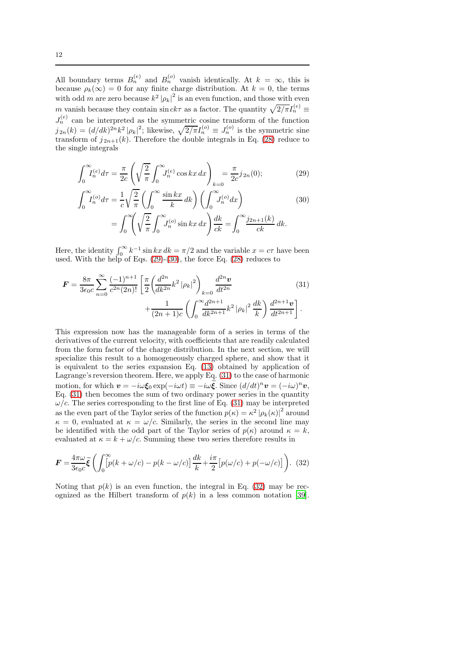All boundary terms  $B_n^{(e)}$  and  $B_n^{(o)}$  vanish identically. At  $k = \infty$ , this is because  $\rho_k(\infty) = 0$  for any finite charge distribution. At  $k = 0$ , the terms with odd m are zero because  $k^2 |\rho_k|^2$  is an even function, and those with even m vanish because they contain  $\sin ck\tau$  as a factor. The quantity  $\sqrt{2/\pi}I_n^{(e)}$  $J_n^{(e)}$  can be interpreted as the symmetric cosine transform of the function  $j_{2n}(k) = (d/dk)^{2n}k^2 |\rho_k|^2$ ; likewise,  $\sqrt{2/\pi}I_n^{(o)} \equiv J_n^{(o)}$  is the symmetric sine transform of  $j_{2n+1}(k)$ . Therefore the double integrals in Eq. [\(28\)](#page-10-0) reduce to the single integrals

$$
\int_0^\infty I_n^{(e)} d\tau = \frac{\pi}{2c} \left( \sqrt{\frac{2}{\pi}} \int_0^\infty J_n^{(e)} \cos kx \, dx \right)_{k=0} = \frac{\pi}{2c} j_{2n}(0); \tag{29}
$$

$$
\int_0^\infty I_n^{(o)} d\tau = \frac{1}{c} \sqrt{\frac{2}{\pi}} \left( \int_0^\infty \frac{\sin kx}{k} dk \right) \left( \int_0^\infty J_n^{(o)} dx \right)
$$
\n
$$
\int_0^\infty I_n^{(o)} d\tau = \frac{1}{c} \sqrt{\frac{2}{\pi}} \left( \int_0^\infty \frac{\sin kx}{k} dk \right) \left( \int_0^\infty J_n^{(o)} dx \right)
$$
\n(30)

<span id="page-11-2"></span><span id="page-11-1"></span><span id="page-11-0"></span>
$$
= \int_0^\infty \left(\sqrt{\frac{2}{\pi}} \int_0^\infty J_n^{(o)} \sin kx \, dx\right) \frac{dk}{ck} = \int_0^\infty \frac{j_{2n+1}(k)}{ck} \, dk.
$$

Here, the identity  $\int_0^\infty k^{-1} \sin kx \, dk = \pi/2$  and the variable  $x = c\tau$  have been used. With the help of Eqs. [\(29\)](#page-11-0)-[\(30\)](#page-11-1), the force Eq. [\(28\)](#page-10-0) reduces to

$$
\mathbf{F} = \frac{8\pi}{3\epsilon_0 c} \sum_{n=0}^{\infty} \frac{(-1)^{n+1}}{c^{2n} (2n)!} \left[ \frac{\pi}{2} \left( \frac{d^{2n}}{dk^{2n}} k^2 |\rho_k|^2 \right)_{k=0} \frac{d^{2n} \mathbf{v}}{dt^{2n}} + \frac{1}{(2n+1)c} \left( \int_0^{\infty} \frac{d^{2n+1}}{dk^{2n+1}} k^2 |\rho_k|^2 \frac{dk}{k} \right) \frac{d^{2n+1} \mathbf{v}}{dt^{2n+1}} \right].
$$
\n(31)

This expression now has the manageable form of a series in terms of the derivatives of the current velocity, with coefficients that are readily calculated from the form factor of the charge distribution. In the next section, we will specialize this result to a homogeneously charged sphere, and show that it is equivalent to the series expansion Eq. [\(13\)](#page-5-3) obtained by application of Lagrange's reversion theorem. Here, we apply Eq. [\(31\)](#page-11-2) to the case of harmonic motion, for which  $\mathbf{v} = -i\omega \boldsymbol{\xi}_0 \exp(-i\omega t) \equiv -i\omega \boldsymbol{\xi}$ . Since  $(d/dt)^n \mathbf{v} = (-i\omega)^n \mathbf{v}$ , Eq. [\(31\)](#page-11-2) then becomes the sum of two ordinary power series in the quantity  $\omega/c$ . The series corresponding to the first line of Eq. [\(31\)](#page-11-2) may be interpreted as the even part of the Taylor series of the function  $p(\kappa) = \kappa^2 |\rho_k(\kappa)|^2$  around  $\kappa = 0$ , evaluated at  $\kappa = \omega/c$ . Similarly, the series in the second line may be identified with the odd part of the Taylor series of  $p(\kappa)$  around  $\kappa = k$ , evaluated at  $\kappa = k + \omega/c$ . Summing these two series therefore results in

<span id="page-11-3"></span>
$$
\boldsymbol{F} = \frac{4\pi\omega}{3\epsilon_0 c} \tilde{\boldsymbol{\xi}} \left( \int_0^\infty \left[ p(k + \omega/c) - p(k - \omega/c) \right] \frac{dk}{k} + \frac{i\pi}{2} \left[ p(\omega/c) + p(-\omega/c) \right] \right). \tag{32}
$$

Noting that  $p(k)$  is an even function, the integral in Eq. [\(32\)](#page-11-3) may be recognized as the Hilbert transform of  $p(k)$  in a less common notation [\[39](#page-19-12)].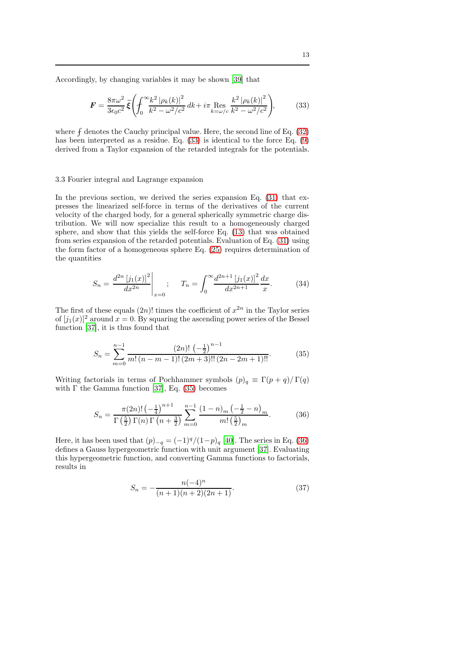Accordingly, by changing variables it may be shown [\[39](#page-19-12)] that

<span id="page-12-0"></span>
$$
\mathbf{F} = \frac{8\pi\omega^2}{3\epsilon_0 c^2} \tilde{\xi} \left( \int_0^\infty \frac{k^2 |\rho_k(k)|^2}{k^2 - \omega^2/c^2} dk + i\pi \underset{k=\omega/c}{\text{Res}} \frac{k^2 |\rho_k(k)|^2}{k^2 - \omega^2/c^2} \right),\tag{33}
$$

where  $f$  denotes the Cauchy principal value. Here, the second line of Eq. [\(32\)](#page-11-3) has been interpreted as a residue. Eq. [\(33\)](#page-12-0) is identical to the force Eq. [\(9\)](#page-4-3) derived from a Taylor expansion of the retarded integrals for the potentials.

# 3.3 Fourier integral and Lagrange expansion

In the previous section, we derived the series expansion Eq.  $(31)$  that expresses the linearized self-force in terms of the derivatives of the current velocity of the charged body, for a general spherically symmetric charge distribution. We will now specialize this result to a homogeneously charged sphere, and show that this yields the self-force Eq. [\(13\)](#page-5-3) that was obtained from series expansion of the retarded potentials. Evaluation of Eq. [\(31\)](#page-11-2) using the form factor of a homogeneous sphere Eq. [\(25\)](#page-9-2) requires determination of the quantities

<span id="page-12-3"></span>
$$
S_n = \frac{d^{2n} \left[ j_1(x) \right]^2}{dx^{2n}} \bigg|_{x=0} ; \quad T_n = \int_0^\infty \frac{d^{2n+1} \left[ j_1(x) \right]^2}{dx^{2n+1}} \frac{dx}{x} . \tag{34}
$$

The first of these equals  $(2n)!$  times the coefficient of  $x^{2n}$  in the Taylor series of  $[j_1(x)]^2$  around  $x = 0$ . By squaring the ascending power series of the Bessel function [\[37\]](#page-19-10), it is thus found that

<span id="page-12-1"></span>
$$
S_n = \sum_{m=0}^{n-1} \frac{(2n)! \left(-\frac{1}{2}\right)^{n-1}}{m! \left(n - m - 1\right)! \left(2m + 3\right)! \left(2n - 2m + 1\right)!}.
$$
 (35)

Writing factorials in terms of Pochhammer symbols  $(p)_q \equiv \Gamma(p+q)/\Gamma(q)$ with  $\Gamma$  the Gamma function [\[37\]](#page-19-10), Eq. [\(35\)](#page-12-1) becomes

$$
S_n = \frac{\pi(2n)! \left(-\frac{1}{4}\right)^{n+1}}{\Gamma\left(\frac{5}{2}\right) \Gamma(n) \Gamma\left(n+\frac{3}{2}\right)} \sum_{m=0}^{n-1} \frac{(1-n)_m \left(-\frac{1}{2} - n\right)_m}{m! \left(\frac{5}{2}\right)_m}.
$$
 (36)

Here, it has been used that  $(p)_{-q} = (-1)^q/(1-p)_q$  [\[40\]](#page-19-13). The series in Eq. [\(36\)](#page-12-2) defines a Gauss hypergeometric function with unit argument [\[37\]](#page-19-10). Evaluating this hypergeometric function, and converting Gamma functions to factorials, results in

<span id="page-12-2"></span>
$$
S_n = -\frac{n(-4)^n}{(n+1)(n+2)(2n+1)}.\t(37)
$$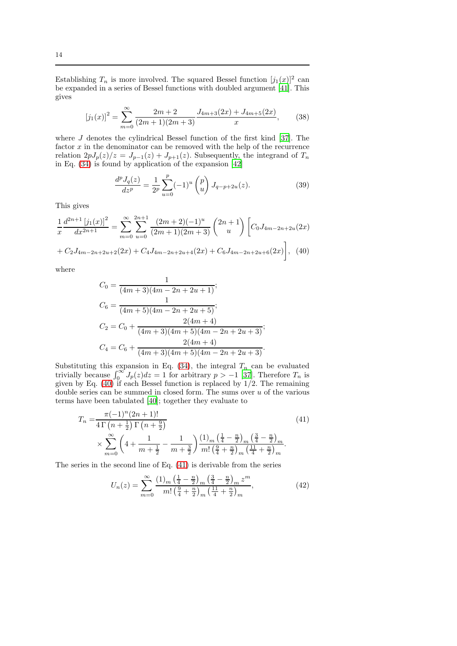Establishing  $T_n$  is more involved. The squared Bessel function  $[j_1(x)]^2$  can be expanded in a series of Bessel functions with doubled argument [\[41\]](#page-19-14). This gives

$$
[j_1(x)]^2 = \sum_{m=0}^{\infty} \frac{2m+2}{(2m+1)(2m+3)} \frac{J_{4m+3}(2x) + J_{4m+5}(2x)}{x},
$$
 (38)

where  $J$  denotes the cylindrical Bessel function of the first kind [\[37\]](#page-19-10). The factor  $x$  in the denominator can be removed with the help of the recurrence relation  $2pJ_p(z)/z = J_{p-1}(z) + J_{p+1}(z)$ . Subsequently, the integrand of  $T_n$ in Eq. [\(34\)](#page-12-3) is found by application of the expansion [\[42\]](#page-19-15)

<span id="page-13-3"></span><span id="page-13-0"></span>
$$
\frac{d^p J_q(z)}{dz^p} = \frac{1}{2^p} \sum_{u=0}^p (-1)^u {p \choose u} J_{q-p+2u}(z). \tag{39}
$$

This gives

$$
\frac{1}{x}\frac{d^{2n+1}[j_1(x)]^2}{dx^{2n+1}} = \sum_{m=0}^{\infty} \sum_{u=0}^{2n+1} \frac{(2m+2)(-1)^u}{(2m+1)(2m+3)} \binom{2n+1}{u} \left[ C_0 J_{4m-2n+2u}(2x) + C_2 J_{4m-2n+2u+2}(2x) + C_4 J_{4m-2n+2u+4}(2x) + C_6 J_{4m-2n+2u+6}(2x) \right], \tag{40}
$$

where

$$
C_0 = \frac{1}{(4m+3)(4m-2n+2u+1)};
$$
  
\n
$$
C_6 = \frac{1}{(4m+5)(4m-2n+2u+5)};
$$
  
\n
$$
C_2 = C_0 + \frac{2(4m+4)}{(4m+3)(4m+5)(4m-2n+2u+3)};
$$
  
\n
$$
C_4 = C_6 + \frac{2(4m+4)}{(4m+3)(4m+5)(4m-2n+2u+3)}.
$$

Substituting this expansion in Eq. [\(34\)](#page-12-3), the integral  $T_n$  can be evaluated trivially because  $\int_0^\infty J_p(z)dz = 1$  for arbitrary  $p > -1$  [\[37\]](#page-19-10). Therefore  $T_n$  is given by Eq. [\(40\)](#page-13-0) if each Bessel function is replaced by 1/2. The remaining double series can be summed in closed form. The sums over  $u$  of the various terms have been tabulated [\[40\]](#page-19-13); together they evaluate to

$$
T_n = \frac{\pi(-1)^n (2n+1)!}{4 \Gamma(n+\frac{1}{2}) \Gamma(n+\frac{9}{2})}
$$
\n
$$
\times \sum_{m=0}^{\infty} \left(4 + \frac{1}{m+\frac{1}{2}} - \frac{1}{m+\frac{3}{2}}\right) \frac{(1)_m \left(\frac{1}{4} - \frac{n}{2}\right)_m \left(\frac{3}{4} - \frac{n}{2}\right)_m}{m! \left(\frac{9}{4} + \frac{n}{2}\right)_m \left(\frac{11}{4} + \frac{n}{2}\right)_m}.
$$
\n(41)

The series in the second line of Eq. [\(41\)](#page-13-1) is derivable from the series

<span id="page-13-2"></span><span id="page-13-1"></span>
$$
U_n(z) = \sum_{m=0}^{\infty} \frac{(1)_m \left(\frac{1}{4} - \frac{n}{2}\right)_m \left(\frac{3}{4} - \frac{n}{2}\right)_m z^m}{m! \left(\frac{9}{4} + \frac{n}{2}\right)_m \left(\frac{11}{4} + \frac{n}{2}\right)_m},\tag{42}
$$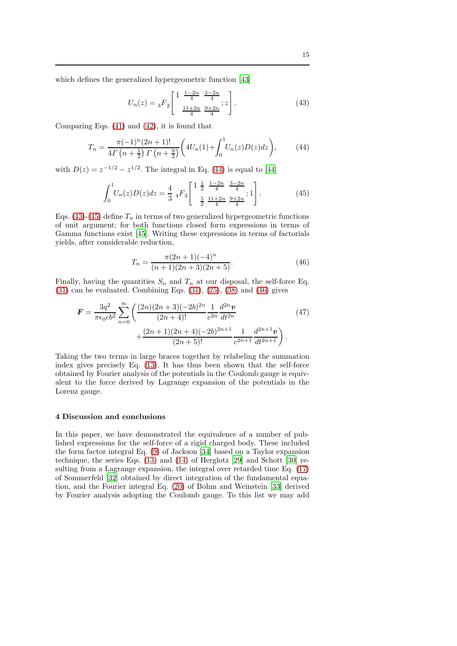which defines the generalized hypergeometric function [\[43\]](#page-19-16)

<span id="page-14-2"></span><span id="page-14-1"></span>
$$
U_n(z) = {}_3F_2 \left[ \begin{array}{cc} 1 & \frac{1-2n}{4} & \frac{3-2n}{4} \\ \frac{11+2n}{4} & \frac{9+2n}{4} \end{array}; z \right].
$$
 (43)

Comparing Eqs. [\(41\)](#page-13-1) and [\(42\)](#page-13-2), it is found that

$$
T_n = \frac{\pi(-1)^n (2n+1)!}{4\Gamma(n+\frac{1}{2})\Gamma(n+\frac{9}{2})} \bigg( 4U_n(1) + \int_0^1 U_n(z)D(z)dz \bigg),\tag{44}
$$

with  $D(z) = z^{-1/2} - z^{1/2}$ . The integral in Eq. [\(44\)](#page-14-1) is equal to [\[44\]](#page-19-17)

$$
\int_0^1 U_n(z)D(z)dz = \frac{4}{3} \, _4F_3 \left[ \begin{array}{rrr} 1 & \frac{1}{2} & \frac{1-2n}{4} & \frac{3-2n}{4} \\ \frac{5}{2} & \frac{11+2n}{4} & \frac{9+2n}{4} \end{array} ; 1 \right]. \tag{45}
$$

Eqs. [\(43\)](#page-14-2)-[\(45\)](#page-14-3) define  $T_n$  in terms of two generalized hypergeometric functions of unit argument; for both functions closed form expressions in terms of Gamma functions exist [\[45](#page-19-18)]. Writing these expressions in terms of factorials yields, after considerable reduction,

<span id="page-14-4"></span><span id="page-14-3"></span>
$$
T_n = \frac{\pi (2n+1)(-4)^n}{(n+1)(2n+3)(2n+5)}.\tag{46}
$$

Finally, having the quantities  $S_n$  and  $T_n$  at our disposal, the self-force Eq.  $(31)$  can be evaluated. Combining Eqs.  $(31)$ ,  $(25)$ ,  $(38)$  and  $(46)$  gives

$$
\mathbf{F} = \frac{3q^2}{\pi\epsilon_0 cb^2} \sum_{n=0}^{\infty} \left( \frac{(2n)(2n+3)(-2b)^{2n}}{(2n+4)!} \frac{1}{c^{2n}} \frac{d^{2n} \mathbf{v}}{dt^{2n}} + \frac{(2n+1)(2n+4)(-2b)^{2n+1}}{(2n+5)!} \frac{1}{c^{2n+1}} \frac{d^{2n+1} \mathbf{v}}{dt^{2n+1}} \right).
$$
(47)

Taking the two terms in large braces together by relabeling the summation index gives precisely Eq. [\(13\)](#page-5-3). It has thus been shown that the self-force obtained by Fourier analysis of the potentials in the Coulomb gauge is equivalent to the force derived by Lagrange expansion of the potentials in the Lorenz gauge.

### <span id="page-14-0"></span>4 Discussion and conclusions

In this paper, we have demonstrated the equivalence of a number of published expressions for the self-force of a rigid charged body. These included the form factor integral Eq. [\(9\)](#page-4-3) of Jackson [\[34\]](#page-19-3) based on a Taylor expansion technique, the series Eqs. [\(13\)](#page-5-3) and [\(14\)](#page-6-4) of Herglotz [\[29](#page-19-2)] and Schott [\[30\]](#page-19-7) resulting from a Lagrange expansion, the integral over retarded time Eq. [\(17\)](#page-6-3) of Sommerfeld [\[32](#page-19-6)] obtained by direct integration of the fundamental equation, and the Fourier integral Eq. [\(20\)](#page-7-3) of Bohm and Weinstein [\[33\]](#page-19-4) derived by Fourier analysis adopting the Coulomb gauge. To this list we may add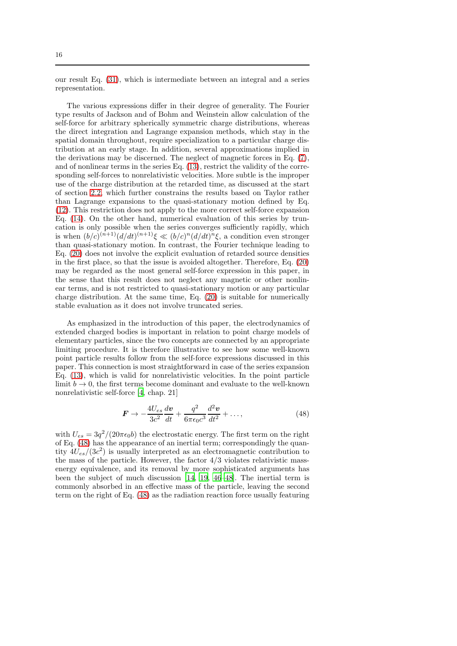our result Eq. [\(31\)](#page-11-2), which is intermediate between an integral and a series representation.

The various expressions differ in their degree of generality. The Fourier type results of Jackson and of Bohm and Weinstein allow calculation of the self-force for arbitrary spherically symmetric charge distributions, whereas the direct integration and Lagrange expansion methods, which stay in the spatial domain throughout, require specialization to a particular charge distribution at an early stage. In addition, several approximations implied in the derivations may be discerned. The neglect of magnetic forces in Eq. [\(7\)](#page-4-1), and of nonlinear terms in the series Eq. [\(13\)](#page-5-3), restrict the validity of the corresponding self-forces to nonrelativistic velocities. More subtle is the improper use of the charge distribution at the retarded time, as discussed at the start of section [2.2,](#page-4-0) which further constrains the results based on Taylor rather than Lagrange expansions to the quasi-stationary motion defined by Eq. [\(12\)](#page-5-2). This restriction does not apply to the more correct self-force expansion Eq. [\(14\)](#page-6-4). On the other hand, numerical evaluation of this series by truncation is only possible when the series converges sufficiently rapidly, which is when  $(b/c)^{(n+1)}(d/dt)^{(n+1)}\xi \ll (b/c)^n(d/dt)^n\xi$ , a condition even stronger than quasi-stationary motion. In contrast, the Fourier technique leading to Eq. [\(20\)](#page-7-3) does not involve the explicit evaluation of retarded source densities in the first place, so that the issue is avoided altogether. Therefore, Eq. [\(20\)](#page-7-3) may be regarded as the most general self-force expression in this paper, in the sense that this result does not neglect any magnetic or other nonlinear terms, and is not restricted to quasi-stationary motion or any particular charge distribution. At the same time, Eq. [\(20\)](#page-7-3) is suitable for numerically stable evaluation as it does not involve truncated series.

As emphasized in the introduction of this paper, the electrodynamics of extended charged bodies is important in relation to point charge models of elementary particles, since the two concepts are connected by an appropriate limiting procedure. It is therefore illustrative to see how some well-known point particle results follow from the self-force expressions discussed in this paper. This connection is most straightforward in case of the series expansion Eq. [\(13\)](#page-5-3), which is valid for nonrelativistic velocities. In the point particle limit  $b \to 0$ , the first terms become dominant and evaluate to the well-known nonrelativistic self-force [\[4](#page-17-3), chap. 21]

<span id="page-15-0"></span>
$$
\boldsymbol{F} \to -\frac{4U_{es}}{3c^2} \frac{dv}{dt} + \frac{q^2}{6\pi\epsilon_0 c^3} \frac{d^2 \boldsymbol{v}}{dt^2} + \dots,\tag{48}
$$

with  $U_{es} = 3q^2/(20\pi\epsilon_0 b)$  the electrostatic energy. The first term on the right of Eq. [\(48\)](#page-15-0) has the appearance of an inertial term; correspondingly the quantity  $4U_{es}/(3c^2)$  is usually interpreted as an electromagnetic contribution to the mass of the particle. However, the factor 4/3 violates relativistic massenergy equivalence, and its removal by more sophisticated arguments has been the subject of much discussion [\[14](#page-18-2), [19,](#page-18-5) [46](#page-19-19)[–48\]](#page-20-0). The inertial term is commonly absorbed in an effective mass of the particle, leaving the second term on the right of Eq. [\(48\)](#page-15-0) as the radiation reaction force usually featuring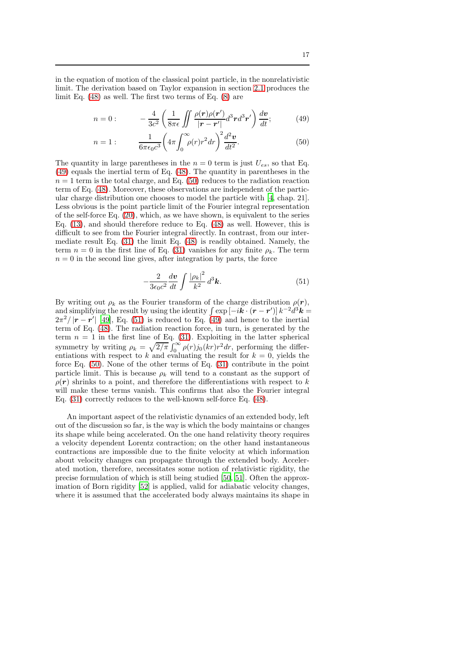in the equation of motion of the classical point particle, in the nonrelativistic limit. The derivation based on Taylor expansion in section [2.1](#page-3-2) produces the limit Eq. [\(48\)](#page-15-0) as well. The first two terms of Eq. [\(8\)](#page-4-2) are

<span id="page-16-0"></span>
$$
n = 0: \qquad -\frac{4}{3c^2} \left( \frac{1}{8\pi\epsilon} \iint \frac{\rho(\mathbf{r})\rho(\mathbf{r}')}{|\mathbf{r} - \mathbf{r}'|} d^3 \mathbf{r} d^3 \mathbf{r}' \right) \frac{d\mathbf{v}}{dt};\tag{49}
$$

<span id="page-16-1"></span>
$$
n = 1: \qquad \frac{1}{6\pi\epsilon_0 c^3} \left(4\pi \int_0^\infty \rho(r) r^2 dr\right)^2 \frac{d^2 \mathbf{v}}{dt^2}.\tag{50}
$$

The quantity in large parentheses in the  $n = 0$  term is just  $U_{es}$ , so that Eq. [\(49\)](#page-16-0) equals the inertial term of Eq. [\(48\)](#page-15-0). The quantity in parentheses in the  $n = 1$  term is the total charge, and Eq. [\(50\)](#page-16-1) reduces to the radiation reaction term of Eq. [\(48\)](#page-15-0). Moreover, these observations are independent of the particular charge distribution one chooses to model the particle with [\[4](#page-17-3), chap. 21]. Less obvious is the point particle limit of the Fourier integral representation of the self-force Eq. [\(20\)](#page-7-3), which, as we have shown, is equivalent to the series Eq. [\(13\)](#page-5-3), and should therefore reduce to Eq. [\(48\)](#page-15-0) as well. However, this is difficult to see from the Fourier integral directly. In contrast, from our intermediate result Eq. [\(31\)](#page-11-2) the limit Eq. [\(48\)](#page-15-0) is readily obtained. Namely, the term  $n = 0$  in the first line of Eq. [\(31\)](#page-11-2) vanishes for any finite  $\rho_k$ . The term  $n = 0$  in the second line gives, after integration by parts, the force

<span id="page-16-2"></span>
$$
-\frac{2}{3\epsilon_0 c^2} \frac{dv}{dt} \int \frac{|\rho_k|^2}{k^2} d^3 \mathbf{k}.\tag{51}
$$

By writing out  $\rho_k$  as the Fourier transform of the charge distribution  $\rho(\mathbf{r}),$ and simplifying the result by using the identity  $\int \exp[-i\boldsymbol{k} \cdot (\boldsymbol{r} - \boldsymbol{r}')] k^{-2} d^3 \boldsymbol{k} =$  $2\pi^2/|\mathbf{r}-\mathbf{r}'|$  [\[49\]](#page-20-1), Eq. [\(51\)](#page-16-2) is reduced to Eq. [\(49\)](#page-16-0) and hence to the inertial term of Eq. [\(48\)](#page-15-0). The radiation reaction force, in turn, is generated by the term  $n = 1$  in the first line of Eq. [\(31\)](#page-11-2). Exploiting in the latter spherical symmetry by writing  $\rho_k = \sqrt{2/\pi} \int_0^\infty \rho(r) j_0(kr) r^2 dr$ , performing the differentiations with respect to k and evaluating the result for  $k = 0$ , yields the force Eq. [\(50\)](#page-16-1). None of the other terms of Eq. [\(31\)](#page-11-2) contribute in the point particle limit. This is because  $\rho_k$  will tend to a constant as the support of  $\rho(\mathbf{r})$  shrinks to a point, and therefore the differentiations with respect to k will make these terms vanish. This confirms that also the Fourier integral Eq. [\(31\)](#page-11-2) correctly reduces to the well-known self-force Eq. [\(48\)](#page-15-0).

An important aspect of the relativistic dynamics of an extended body, left out of the discussion so far, is the way is which the body maintains or changes its shape while being accelerated. On the one hand relativity theory requires a velocity dependent Lorentz contraction; on the other hand instantaneous contractions are impossible due to the finite velocity at which information about velocity changes can propagate through the extended body. Accelerated motion, therefore, necessitates some notion of relativistic rigidity, the precise formulation of which is still being studied [\[50](#page-20-2), [51](#page-20-3)]. Often the approximation of Born rigidity [\[52\]](#page-20-4) is applied, valid for adiabatic velocity changes, where it is assumed that the accelerated body always maintains its shape in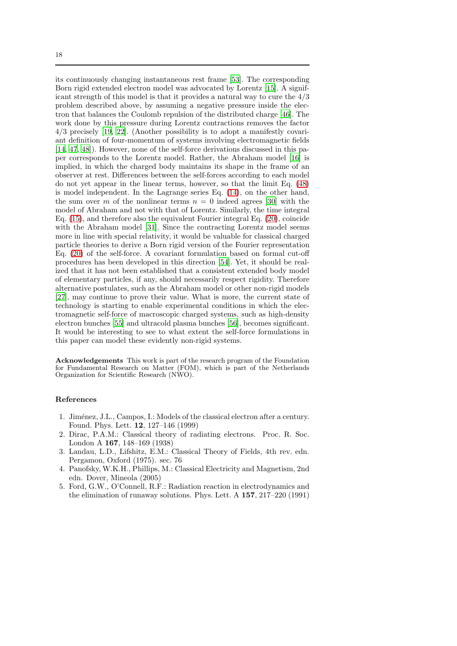its continuously changing instantaneous rest frame [\[53\]](#page-20-5). The corresponding Born rigid extended electron model was advocated by Lorentz [\[15](#page-18-8)]. A significant strength of this model is that it provides a natural way to cure the 4/3 problem described above, by assuming a negative pressure inside the electron that balances the Coulomb repulsion of the distributed charge [\[46](#page-19-19)]. The work done by this pressure during Lorentz contractions removes the factor 4/3 precisely [\[19](#page-18-5), [22\]](#page-18-6). (Another possibility is to adopt a manifestly covariant definition of four-momentum of systems involving electromagnetic fields [\[14,](#page-18-2) [47,](#page-19-20) [48\]](#page-20-0)). However, none of the self-force derivations discussed in this paper corresponds to the Lorentz model. Rather, the Abraham model [\[16](#page-18-3)] is implied, in which the charged body maintains its shape in the frame of an observer at rest. Differences between the self-forces according to each model do not yet appear in the linear terms, however, so that the limit Eq. [\(48\)](#page-15-0) is model independent. In the Lagrange series Eq. [\(14\)](#page-6-4), on the other hand, the sum over m of the nonlinear terms  $n = 0$  indeed agrees [\[30](#page-19-7)] with the model of Abraham and not with that of Lorentz. Similarly, the time integral Eq. [\(15\)](#page-6-1), and therefore also the equivalent Fourier integral Eq. [\(20\)](#page-7-3), coincide with the Abraham model [\[31\]](#page-19-5). Since the contracting Lorentz model seems more in line with special relativity, it would be valuable for classical charged particle theories to derive a Born rigid version of the Fourier representation Eq. [\(20\)](#page-7-3) of the self-force. A covariant formulation based on formal cut-off procedures has been developed in this direction [\[54\]](#page-20-6). Yet, it should be realized that it has not been established that a consistent extended body model of elementary particles, if any, should necessarily respect rigidity. Therefore alternative postulates, such as the Abraham model or other non-rigid models [\[27\]](#page-19-21), may continue to prove their value. What is more, the current state of technology is starting to enable experimental conditions in which the electromagnetic self-force of macroscopic charged systems, such as high-density electron bunches [\[55](#page-20-7)] and ultracold plasma bunches [\[56\]](#page-20-8), becomes significant. It would be interesting to see to what extent the self-force formulations in this paper can model these evidently non-rigid systems.

Acknowledgements This work is part of the research program of the Foundation for Fundamental Research on Matter (FOM), which is part of the Netherlands Organization for Scientific Research (NWO).

#### References

- <span id="page-17-0"></span>1. Jim´enez, J.L., Campos, I.: Models of the classical electron after a century. Found. Phys. Lett. 12, 127–146 (1999)
- <span id="page-17-1"></span>2. Dirac, P.A.M.: Classical theory of radiating electrons. Proc. R. Soc. London A 167, 148–169 (1938)
- <span id="page-17-2"></span>3. Landau, L.D., Lifshitz, E.M.: Classical Theory of Fields, 4th rev. edn. Pergamon, Oxford (1975). sec. 76
- <span id="page-17-3"></span>4. Panofsky, W.K.H., Phillips, M.: Classical Electricity and Magnetism, 2nd edn. Dover, Mineola (2005)
- <span id="page-17-4"></span>5. Ford, G.W., O'Connell, R.F.: Radiation reaction in electrodynamics and the elimination of runaway solutions. Phys. Lett. A 157, 217–220 (1991)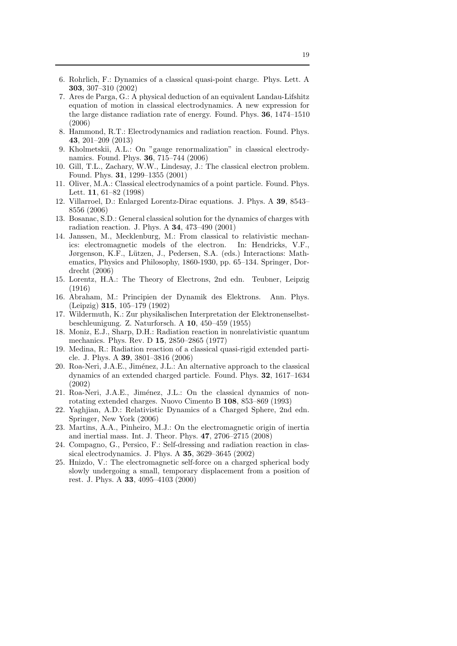- 6. Rohrlich, F.: Dynamics of a classical quasi-point charge. Phys. Lett. A 303, 307–310 (2002)
- <span id="page-18-0"></span>7. Ares de Parga, G.: A physical deduction of an equivalent Landau-Lifshitz equation of motion in classical electrodynamics. A new expression for the large distance radiation rate of energy. Found. Phys. 36, 1474–1510 (2006)
- 8. Hammond, R.T.: Electrodynamics and radiation reaction. Found. Phys. 43, 201–209 (2013)
- 9. Kholmetskii, A.L.: On "gauge renormalization" in classical electrodynamics. Found. Phys. 36, 715–744 (2006)
- 10. Gill, T.L., Zachary, W.W., Lindesay, J.: The classical electron problem. Found. Phys. 31, 1299–1355 (2001)
- 11. Oliver, M.A.: Classical electrodynamics of a point particle. Found. Phys. Lett. 11, 61–82 (1998)
- 12. Villarroel, D.: Enlarged Lorentz-Dirac equations. J. Phys. A 39, 8543– 8556 (2006)
- <span id="page-18-1"></span>13. Bosanac, S.D.: General classical solution for the dynamics of charges with radiation reaction. J. Phys. A 34, 473–490 (2001)
- <span id="page-18-2"></span>14. Janssen, M., Mecklenburg, M.: From classical to relativistic mechanics: electromagnetic models of the electron. In: Hendricks, V.F., Jørgenson, K.F., Lützen, J., Pedersen, S.A. (eds.) Interactions: Mathematics, Physics and Philosophy, 1860-1930, pp. 65–134. Springer, Dordrecht (2006)
- <span id="page-18-8"></span>15. Lorentz, H.A.: The Theory of Electrons, 2nd edn. Teubner, Leipzig (1916)
- <span id="page-18-3"></span>16. Abraham, M.: Principien der Dynamik des Elektrons. Ann. Phys. (Leipzig) 315, 105–179 (1902)
- <span id="page-18-4"></span>17. Wildermuth, K.: Zur physikalischen Interpretation der Elektronenselbstbeschleunigung. Z. Naturforsch. A 10, 450–459 (1955)
- 18. Moniz, E.J., Sharp, D.H.: Radiation reaction in nonrelativistic quantum mechanics. Phys. Rev. D 15, 2850–2865 (1977)
- <span id="page-18-5"></span>19. Medina, R.: Radiation reaction of a classical quasi-rigid extended particle. J. Phys. A 39, 3801–3816 (2006)
- 20. Roa-Neri, J.A.E., Jiménez, J.L.: An alternative approach to the classical dynamics of an extended charged particle. Found. Phys. 32, 1617–1634 (2002)
- <span id="page-18-11"></span>21. Roa-Neri, J.A.E., Jiménez, J.L.: On the classical dynamics of nonrotating extended charges. Nuovo Cimento B 108, 853–869 (1993)
- <span id="page-18-6"></span>22. Yaghjian, A.D.: Relativistic Dynamics of a Charged Sphere, 2nd edn. Springer, New York (2006)
- <span id="page-18-7"></span>23. Martins, A.A., Pinheiro, M.J.: On the electromagnetic origin of inertia and inertial mass. Int. J. Theor. Phys. 47, 2706–2715 (2008)
- <span id="page-18-9"></span>24. Compagno, G., Persico, F.: Self-dressing and radiation reaction in classical electrodynamics. J. Phys. A 35, 3629–3645 (2002)
- <span id="page-18-10"></span>25. Hnizdo, V.: The electromagnetic self-force on a charged spherical body slowly undergoing a small, temporary displacement from a position of rest. J. Phys. A 33, 4095–4103 (2000)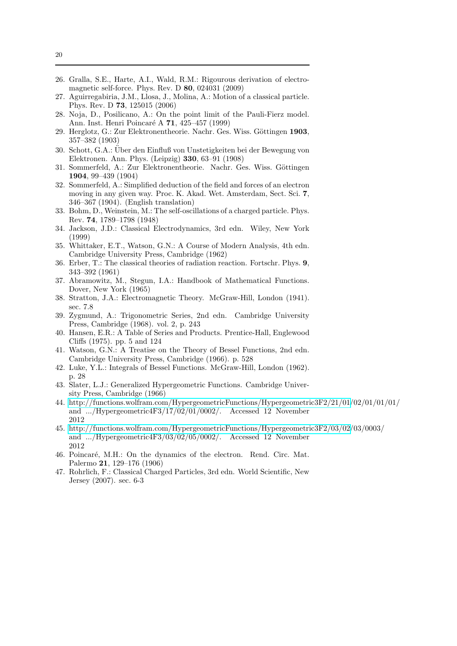- <span id="page-19-0"></span>26. Gralla, S.E., Harte, A.I., Wald, R.M.: Rigourous derivation of electromagnetic self-force. Phys. Rev. D 80, 024031 (2009)
- <span id="page-19-21"></span>27. Aguirregabiria, J.M., Llosa, J., Molina, A.: Motion of a classical particle. Phys. Rev. D 73, 125015 (2006)
- <span id="page-19-1"></span>28. Noja, D., Posilicano, A.: On the point limit of the Pauli-Fierz model. Ann. Inst. Henri Poincar´e A 71, 425–457 (1999)
- <span id="page-19-2"></span>29. Herglotz, G.: Zur Elektronentheorie. Nachr. Ges. Wiss. Göttingen 1903. 357–382 (1903)
- <span id="page-19-7"></span>30. Schott, G.A.: Uber den Einfluß von Unstetigkeiten bei der Bewegung von ¨ Elektronen. Ann. Phys. (Leipzig) 330, 63–91 (1908)
- <span id="page-19-5"></span>31. Sommerfeld, A.: Zur Elektronentheorie. Nachr. Ges. Wiss. Göttingen 1904, 99–439 (1904)
- <span id="page-19-6"></span>32. Sommerfeld, A.: Simplified deduction of the field and forces of an electron moving in any given way. Proc. K. Akad. Wet. Amsterdam, Sect. Sci. 7, 346–367 (1904). (English translation)
- <span id="page-19-4"></span>33. Bohm, D., Weinstein, M.: The self-oscillations of a charged particle. Phys. Rev. 74, 1789–1798 (1948)
- <span id="page-19-3"></span>34. Jackson, J.D.: Classical Electrodynamics, 3rd edn. Wiley, New York (1999)
- <span id="page-19-8"></span>35. Whittaker, E.T., Watson, G.N.: A Course of Modern Analysis, 4th edn. Cambridge University Press, Cambridge (1962)
- <span id="page-19-9"></span>36. Erber, T.: The classical theories of radiation reaction. Fortschr. Phys. 9, 343–392 (1961)
- <span id="page-19-10"></span>37. Abramowitz, M., Stegun, I.A.: Handbook of Mathematical Functions. Dover, New York (1965)
- <span id="page-19-11"></span>38. Stratton, J.A.: Electromagnetic Theory. McGraw-Hill, London (1941). sec. 7.8
- <span id="page-19-12"></span>39. Zygmund, A.: Trigonometric Series, 2nd edn. Cambridge University Press, Cambridge (1968). vol. 2, p. 243
- <span id="page-19-13"></span>40. Hansen, E.R.: A Table of Series and Products. Prentice-Hall, Englewood Cliffs (1975). pp. 5 and 124
- <span id="page-19-14"></span>41. Watson, G.N.: A Treatise on the Theory of Bessel Functions, 2nd edn. Cambridge University Press, Cambridge (1966). p. 528
- <span id="page-19-15"></span>42. Luke, Y.L.: Integrals of Bessel Functions. McGraw-Hill, London (1962). p. 28
- <span id="page-19-16"></span>43. Slater, L.J.: Generalized Hypergeometric Functions. Cambridge University Press, Cambridge (1966)
- <span id="page-19-17"></span>44. [http://functions.wolfram.com/HypergeometricFunctions/Hypergeometric3F2/21/01/](http://functions.wolfram.com/HypergeometricFunctions/Hypergeometric3F2/21/01)02/01/01/01/ and .../Hypergeometric4F3/17/02/01/0002/. Accessed 12 November 2012
- <span id="page-19-18"></span>45. [http://functions.wolfram.com/HypergeometricFunctions/Hypergeometric3F2/03/02/](http://functions.wolfram.com/HypergeometricFunctions/Hypergeometric3F2/03/02)03/0003/ and .../Hypergeometric4F3/03/02/05/0002/. Accessed 12 November 2012
- <span id="page-19-19"></span>46. Poincaré, M.H.: On the dynamics of the electron. Rend. Circ. Mat. Palermo 21, 129–176 (1906)
- <span id="page-19-20"></span>47. Rohrlich, F.: Classical Charged Particles, 3rd edn. World Scientific, New Jersey (2007). sec. 6-3